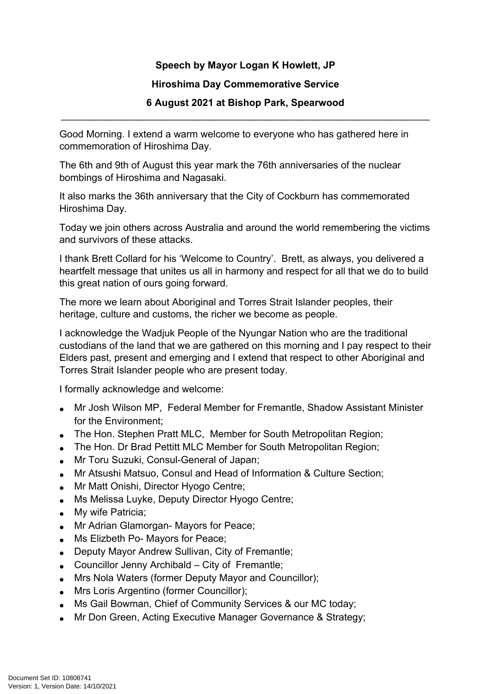**Speech by Mayor Logan K Howlett, JP**

## **Hiroshima Day Commemorative Service**

## **6 August 2021 at Bishop Park, Spearwood** \_\_\_\_\_\_\_\_\_\_\_\_\_\_\_\_\_\_\_\_\_\_\_\_\_\_\_\_\_\_\_\_\_\_\_\_\_\_\_\_\_\_\_\_\_\_\_\_\_\_\_\_\_\_\_\_\_\_\_\_\_\_\_\_\_\_\_

Good Morning. I extend a warm welcome to everyone who has gathered here in commemoration of Hiroshima Day.

The 6th and 9th of August this year mark the 76th anniversaries of the nuclear bombings of Hiroshima and Nagasaki.

It also marks the 36th anniversary that the City of Cockburn has commemorated Hiroshima Day.

Today we join others across Australia and around the world remembering the victims and survivors of these attacks.

I thank Brett Collard for his 'Welcome to Country'. Brett, as always, you delivered a heartfelt message that unites us all in harmony and respect for all that we do to build this great nation of ours going forward.

The more we learn about Aboriginal and Torres Strait Islander peoples, their heritage, culture and customs, the richer we become as people.

I acknowledge the Wadjuk People of the Nyungar Nation who are the traditional custodians of the land that we are gathered on this morning and I pay respect to their Elders past, present and emerging and I extend that respect to other Aboriginal and Torres Strait Islander people who are present today.

I formally acknowledge and welcome:

- Mr Josh Wilson MP, Federal Member for Fremantle, Shadow Assistant Minister for the Environment;
- The Hon. Stephen Pratt MLC, Member for South Metropolitan Region;
- The Hon. Dr Brad Pettitt MLC Member for South Metropolitan Region;
- Mr Toru Suzuki, Consul-General of Japan;
- Mr Atsushi Matsuo, Consul and Head of Information & Culture Section;
- Mr Matt Onishi, Director Hyogo Centre;
- Ms Melissa Luyke, Deputy Director Hyogo Centre;
- My wife Patricia;
- Mr Adrian Glamorgan- Mayors for Peace;
- **Ms Elizbeth Po- Mayors for Peace;**
- Deputy Mayor Andrew Sullivan, City of Fremantle;
- Councillor Jenny Archibald City of Fremantle;
- Mrs Nola Waters (former Deputy Mayor and Councillor);
- Mrs Loris Argentino (former Councillor);
- Ms Gail Bowman, Chief of Community Services & our MC today;
- Mr Don Green, Acting Executive Manager Governance & Strategy;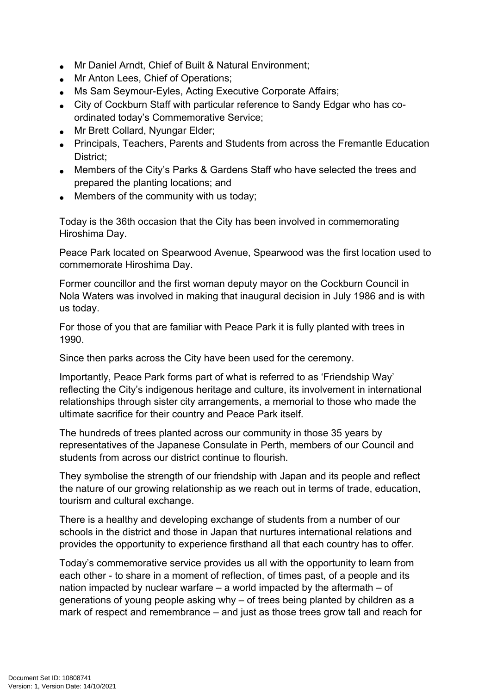- Mr Daniel Arndt, Chief of Built & Natural Environment;
- Mr Anton Lees, Chief of Operations;
- Ms Sam Seymour-Eyles, Acting Executive Corporate Affairs;
- City of Cockburn Staff with particular reference to Sandy Edgar who has coordinated today's Commemorative Service;
- Mr Brett Collard, Nyungar Elder;
- Principals, Teachers, Parents and Students from across the Fremantle Education District;
- Members of the City's Parks & Gardens Staff who have selected the trees and prepared the planting locations; and
- Members of the community with us today;

Today is the 36th occasion that the City has been involved in commemorating Hiroshima Day.

Peace Park located on Spearwood Avenue, Spearwood was the first location used to commemorate Hiroshima Day.

Former councillor and the first woman deputy mayor on the Cockburn Council in Nola Waters was involved in making that inaugural decision in July 1986 and is with us today.

For those of you that are familiar with Peace Park it is fully planted with trees in 1990.

Since then parks across the City have been used for the ceremony.

Importantly, Peace Park forms part of what is referred to as 'Friendship Way' reflecting the City's indigenous heritage and culture, its involvement in international relationships through sister city arrangements, a memorial to those who made the ultimate sacrifice for their country and Peace Park itself.

The hundreds of trees planted across our community in those 35 years by representatives of the Japanese Consulate in Perth, members of our Council and students from across our district continue to flourish.

They symbolise the strength of our friendship with Japan and its people and reflect the nature of our growing relationship as we reach out in terms of trade, education, tourism and cultural exchange.

There is a healthy and developing exchange of students from a number of our schools in the district and those in Japan that nurtures international relations and provides the opportunity to experience firsthand all that each country has to offer.

Today's commemorative service provides us all with the opportunity to learn from each other - to share in a moment of reflection, of times past, of a people and its nation impacted by nuclear warfare – a world impacted by the aftermath – of generations of young people asking why – of trees being planted by children as a mark of respect and remembrance – and just as those trees grow tall and reach for